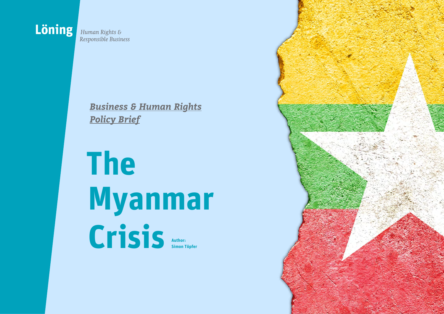

Responsible Business

*Business & Human Rights Policy Brief*

## **The Myanmar Crisis Author: Simon Töpfer**

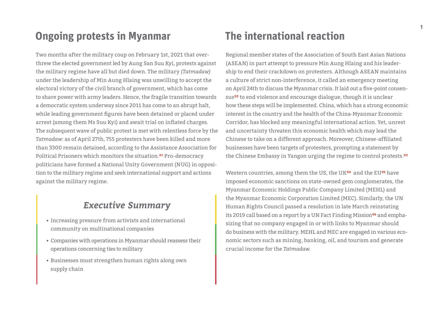## **Ongoing protests in Myanmar The international reaction**

Two months after the military coup on February 1st, 2021 that overthrew the elected government led by Aung San Suu Kyi, protests against the military regime have all but died down. The military *(Tatmadaw)* under the leadership of Min Aung Hlaing was unwilling to accept the electoral victory of the civil branch of government, which has come to share power with army leaders. Hence, the fragile transition towards a democratic system underway since 2011 has come to an abrupt halt, while leading government figures have been detained or placed under arrest (among them Ms Suu Kyi) and await trial on inflated charges. The subsequent wave of public protest is met with relentless force by the *Tatmadaw:* as of April 27th, 755 protesters have been killed and more than 3300 remain detained, according to the Assistance Association for Political Prisoners which monitors the situation.**01** Pro-democracy politicians have formed a National Unity Government (NUG) in opposition to the military regime and seek international support and actions against the military regime.

### *Executive Summary*

- Increasing pressure from activists and international community on multinational companies
- Companies with operations in Myanmar should reassess their operations concerning ties to military
- Businesses must strengthen human rights along own supply chain

Regional member states of the Association of South East Asian Nations (ASEAN) in part attempt to pressure Min Aung Hlaing and his leadership to end their crackdown on protesters. Although ASEAN maintains a culture of strict non-interference, it called an emergency meeting on April 24th to discuss the Myanmar crisis. It laid out a five-point consensus**02** to end violence and encourage dialogue, though it is unclear how these steps will be implemented. China, which has a strong economic interest in the country and the health of the China-Myanmar Economic Corridor, has blocked any meaningful international action. Yet, unrest and uncertainty threaten this economic health which may lead the Chinese to take on a different approach. Moreover, Chinese-affiliated businesses have been targets of protesters, prompting a statement by the Chinese Embassy in Yangon urging the regime to control protests.**<sup>03</sup>**

Western countries, among them the US, the UK**04** and the EU**05** have imposed economic sanctions on state-owned gem conglomerates, the Myanmar Economic Holdings Public Company Limited (MEHL) and the Myanmar Economic Corporation Limited (MEC). Similarly, the UN Human Rights Council passed a resolution in late March reinstating its 2019 call based on a report by a UN Fact Finding Mission**06** and emphasizing that no company engaged in or with links to Myanmar should do business with the military. MEHL and MEC are engaged in various economic sectors such as mining, banking, oil, and tourism and generate crucial income for the *Tatmadaw.*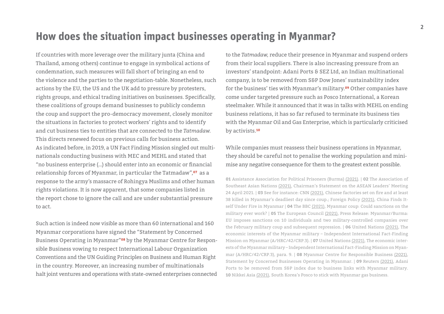## **How does the situation impact businesses operating in Myanmar?**

If countries with more leverage over the military junta (China and Thailand, among others) continue to engage in symbolical actions of condemnation, such measures will fall short of bringing an end to the violence and the parties to the negotiation-table. Nonetheless, such actions by the EU, the US and the UK add to pressure by protesters, rights groups, and ethical trading initiatives on businesses. Specifically, these coalitions of groups demand businesses to publicly condemn the coup and support the pro-democracy movement, closely monitor the situations in factories to protect workers' rights and to identify and cut business ties to entities that are connected to the *Tatmadaw.* This directs renewed focus on previous calls for business action. As indicated before, in 2019, a UN Fact Finding Mission singled out multinationals conducting business with MEC and MEHL and stated that "no business enterprise (…) should enter into an economic or financial relationship forces of Myanmar, in particular the Tatmadaw",**07** as a response to the army's massacre of Rohingya Muslims and other human rights violations. It is now apparent, that some companies listed in the report chose to ignore the call and are under substantial pressure to act.

Such action is indeed now visible as more than 60 international and 160 Myanmar corporations have signed the "Statement by Concerned Business Operating in Myanmar"**08** by the Myanmar Centre for Responsible Business vowing to respect International Labour Organization Conventions and the UN Guiding Principles on Business and Human Right in the country. Moreover, an increasing number of multinationals halt joint ventures and operations with state-owned enterprises connected to the *Tatmadaw,* reduce their presence in Myanmar and suspend orders from their local suppliers. There is also increasing pressure from an investors' standpoint: Adani Ports & SEZ Ltd, an Indian multinational company, is to be removed from S&P Dow Jones' sustainability index for the business' ties with Myanmar's military.**09** Other companies have come under targeted pressure such as Posco International, a Korean steelmaker. While it announced that it was in talks with MEHL on ending business relations, it has so far refused to terminate its business ties with the Myanmar Oil and Gas Enterprise, which is particularly criticised by activists.**<sup>10</sup>**

While companies must reassess their business operations in Myanmar, they should be careful not to penalise the working population and minimise any negative consequence for them to the greatest extent possible.

**01** Assistance Association for Political Prisoners (Burma) [\(2021\)](https://aappb.org/). | **02** The Association of Southeast Asian Nations [\(2021\)](https://asean.org/storage/Chairmans-Statement-on-ALM-Five-Point-Consensus-24-April-2021-FINAL-a-1.pdf), Chairman's Statement on the ASEAN Leaders' Meeting 24 April 2021. | **03** See for instance: CNN [\(2021\),](https://edition.cnn.com/2021/03/15/asia/myanmar-deaths-chinese-factories-intl-hnk/index.html) Chinese factories set on fire and at least 38 killed in Myanmar's deadliest day since coup.; Foreign Policy [\(2021\),](https://foreignpolicy.com/2021/03/17/myanmar-china-coup-protests-factory-fires/) China Finds Itself Under Fire in Myanmar | **04** The BBC [\(2021\)](https://www.bbc.com/news/business-56248559), Myanmar coup: Could sanctions on the military ever work? | **05** The European Council [\(2021\)](https://www.consilium.europa.eu/en/press/press-releases/2021/04/19/myanmar-burma-eu-imposes-sanctions-on-10-individuals-and-two-military-controlled-companies-over-the-february-military-coup-and-subsequent-repression/), Press Release: Myanmar/Burma: EU imposes sanctions on 10 individuals and two military-controlled companies over the February military coup and subsequent repression. | **06** United Nations [\(2021\),](https://www.ohchr.org/Documents/HRBodies/HRCouncil/FFM-Myanmar/EconomicInterestsMyanmarMilitary/A_HRC_42_CRP_3.pdf) The economic interests of the Myanmar military – Independent International Fact-Finding Mission on Myanmar (A/HRC/42/CRP.3). | **07** United Nations [\(2021\),](https://www.ohchr.org/Documents/HRBodies/HRCouncil/FFM-Myanmar/EconomicInterestsMyanmarMilitary/A_HRC_42_CRP_3.pdf) The economic interests of the Myanmar military – Independent International Fact-Finding Mission on Myanmar (A/HRC/42/CRP.3), para. 9. | **08** Myanmar Centre for Responsible Business [\(2021\),](https://www.myanmar-responsiblebusiness.org/news/statement-concerned-businesses.html) Statement by Concerned Businesses Operating in Myanmar. | **09** Reuters [\(2021\)](https://www.reuters.com/business/sustainable-business/sp-dow-jones-indices-removes-adani-ports-sustainability-index-2021-04-13/), Adani Ports to be removed from S&P index due to business links with Myanmar military. **10** Nikkei Asia [\(2021\)](https://asia.nikkei.com/Business/Companies/South-Korea-s-Posco-to-stick-with-Myanmar-gas-business), South Korea's Posco to stick with Myanmar gas business.